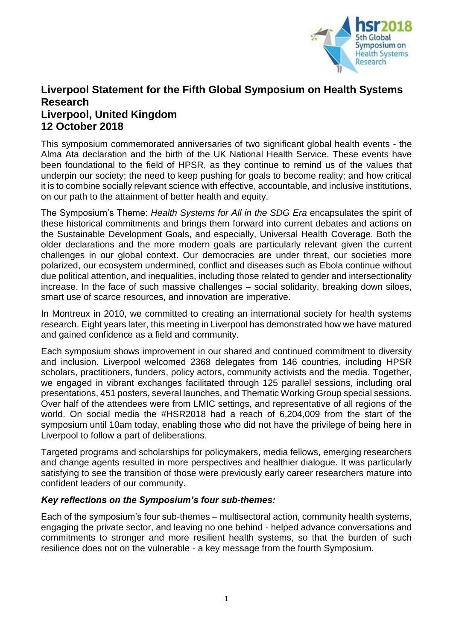

# **Liverpool Statement for the Fifth Global Symposium on Health Systems Research Liverpool, United Kingdom 12 October 2018**

This symposium commemorated anniversaries of two significant global health events - the Alma Ata declaration and the birth of the UK National Health Service. These events have been foundational to the field of HPSR, as they continue to remind us of the values that underpin our society; the need to keep pushing for goals to become reality; and how critical it is to combine socially relevant science with effective, accountable, and inclusive institutions, on our path to the attainment of better health and equity.

The Symposium's Theme: *Health Systems for All in the SDG Era* encapsulates the spirit of these historical commitments and brings them forward into current debates and actions on the Sustainable Development Goals, and especially, Universal Health Coverage. Both the older declarations and the more modern goals are particularly relevant given the current challenges in our global context. Our democracies are under threat, our societies more polarized, our ecosystem undermined, conflict and diseases such as Ebola continue without due political attention, and inequalities, including those related to gender and intersectionality increase. In the face of such massive challenges – social solidarity, breaking down siloes, smart use of scarce resources, and innovation are imperative.

In Montreux in 2010, we committed to creating an international society for health systems research. Eight years later, this meeting in Liverpool has demonstrated how we have matured and gained confidence as a field and community.

Each symposium shows improvement in our shared and continued commitment to diversity and inclusion. Liverpool welcomed 2368 delegates from 146 countries, including HPSR scholars, practitioners, funders, policy actors, community activists and the media. Together, we engaged in vibrant exchanges facilitated through 125 parallel sessions, including oral presentations, 451 posters, several launches, and Thematic Working Group special sessions. Over half of the attendees were from LMIC settings, and representative of all regions of the world. On social media the #HSR2018 had a reach of 6,204,009 from the start of the symposium until 10am today, enabling those who did not have the privilege of being here in Liverpool to follow a part of deliberations.

Targeted programs and scholarships for policymakers, media fellows, emerging researchers and change agents resulted in more perspectives and healthier dialogue. It was particularly satisfying to see the transition of those were previously early career researchers mature into confident leaders of our community.

#### *Key reflections on the Symposium's four sub-themes:*

Each of the symposium's four sub-themes – multisectoral action, community health systems, engaging the private sector, and leaving no one behind - helped advance conversations and commitments to stronger and more resilient health systems, so that the burden of such resilience does not on the vulnerable - a key message from the fourth Symposium.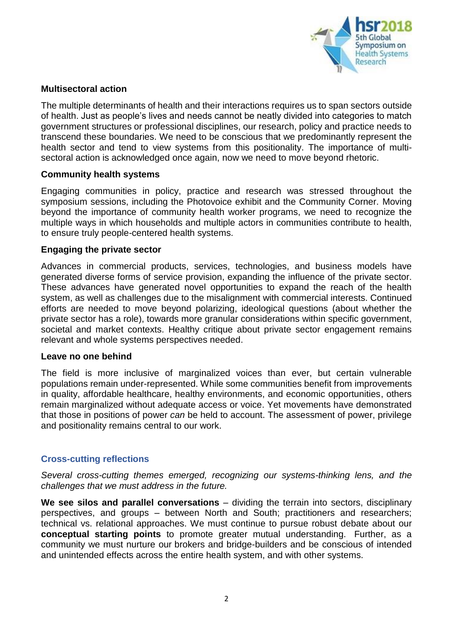

#### **Multisectoral action**

The multiple determinants of health and their interactions requires us to span sectors outside of health. Just as people's lives and needs cannot be neatly divided into categories to match government structures or professional disciplines, our research, policy and practice needs to transcend these boundaries. We need to be conscious that we predominantly represent the health sector and tend to view systems from this positionality. The importance of multisectoral action is acknowledged once again, now we need to move beyond rhetoric.

#### **Community health systems**

Engaging communities in policy, practice and research was stressed throughout the symposium sessions, including the Photovoice exhibit and the Community Corner. Moving beyond the importance of community health worker programs, we need to recognize the multiple ways in which households and multiple actors in communities contribute to health, to ensure truly people-centered health systems.

### **Engaging the private sector**

Advances in commercial products, services, technologies, and business models have generated diverse forms of service provision, expanding the influence of the private sector. These advances have generated novel opportunities to expand the reach of the health system, as well as challenges due to the misalignment with commercial interests. Continued efforts are needed to move beyond polarizing, ideological questions (about whether the private sector has a role), towards more granular considerations within specific government, societal and market contexts. Healthy critique about private sector engagement remains relevant and whole systems perspectives needed.

#### **Leave no one behind**

The field is more inclusive of marginalized voices than ever, but certain vulnerable populations remain under-represented. While some communities benefit from improvements in quality, affordable healthcare, healthy environments, and economic opportunities, others remain marginalized without adequate access or voice. Yet movements have demonstrated that those in positions of power *can* be held to account. The assessment of power, privilege and positionality remains central to our work.

## **Cross-cutting reflections**

*Several cross-cutting themes emerged, recognizing our systems-thinking lens, and the challenges that we must address in the future.*

We see silos and parallel conversations – dividing the terrain into sectors, disciplinary perspectives, and groups – between North and South; practitioners and researchers; technical vs. relational approaches. We must continue to pursue robust debate about our **conceptual starting points** to promote greater mutual understanding. Further, as a community we must nurture our brokers and bridge-builders and be conscious of intended and unintended effects across the entire health system, and with other systems.